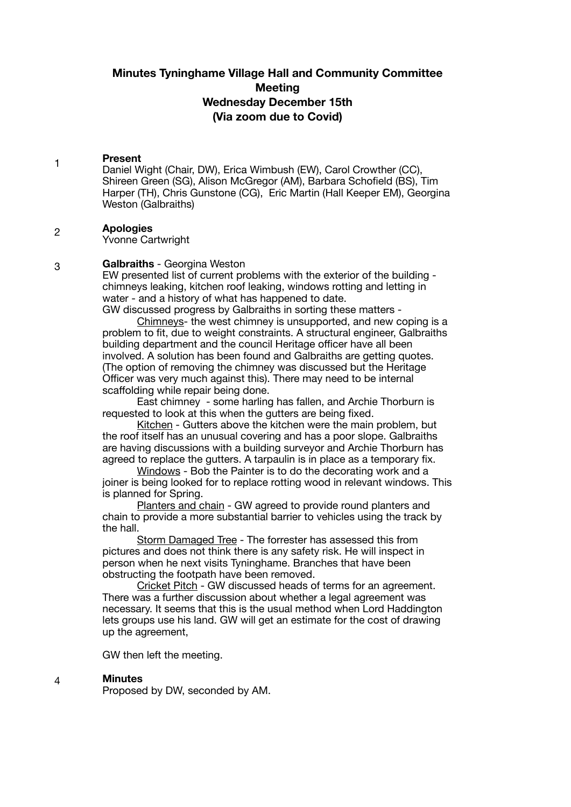# **Minutes Tyninghame Village Hall and Community Committee Meeting Wednesday December 15th (Via zoom due to Covid)**

#### 1 **Present**

Daniel Wight (Chair, DW), Erica Wimbush (EW), Carol Crowther (CC), Shireen Green (SG), Alison McGregor (AM), Barbara Schofield (BS), Tim Harper (TH), Chris Gunstone (CG), Eric Martin (Hall Keeper EM), Georgina Weston (Galbraiths)

#### 2 **Apologies**

3

Yvonne Cartwright

# **Galbraiths** - Georgina Weston

EW presented list of current problems with the exterior of the building chimneys leaking, kitchen roof leaking, windows rotting and letting in water - and a history of what has happened to date. GW discussed progress by Galbraiths in sorting these matters -

Chimneys- the west chimney is unsupported, and new coping is a

problem to fit, due to weight constraints. A structural engineer, Galbraiths building department and the council Heritage officer have all been involved. A solution has been found and Galbraiths are getting quotes. (The option of removing the chimney was discussed but the Heritage Officer was very much against this). There may need to be internal scaffolding while repair being done.

East chimney - some harling has fallen, and Archie Thorburn is requested to look at this when the gutters are being fixed.

Kitchen - Gutters above the kitchen were the main problem, but the roof itself has an unusual covering and has a poor slope. Galbraiths are having discussions with a building surveyor and Archie Thorburn has agreed to replace the gutters. A tarpaulin is in place as a temporary fix.

Windows - Bob the Painter is to do the decorating work and a joiner is being looked for to replace rotting wood in relevant windows. This is planned for Spring.

Planters and chain - GW agreed to provide round planters and chain to provide a more substantial barrier to vehicles using the track by the hall.

Storm Damaged Tree - The forrester has assessed this from pictures and does not think there is any safety risk. He will inspect in person when he next visits Tyninghame. Branches that have been obstructing the footpath have been removed.

Cricket Pitch - GW discussed heads of terms for an agreement. There was a further discussion about whether a legal agreement was necessary. It seems that this is the usual method when Lord Haddington lets groups use his land. GW will get an estimate for the cost of drawing up the agreement,

GW then left the meeting.

#### 4 **Minutes**

Proposed by DW, seconded by AM.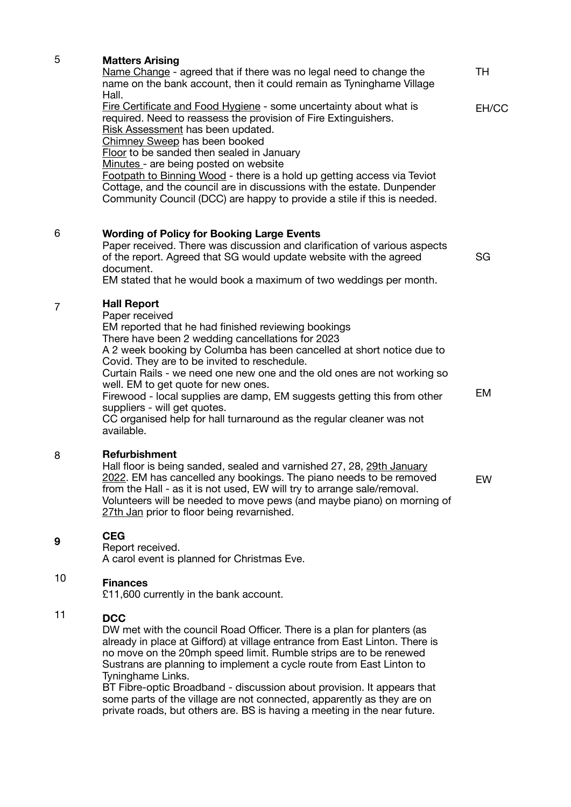| 5 | <b>Matters Arising</b>                                                                                                                                                                                                                                                                                                                                                                                                                                                                                                                                                                      |           |
|---|---------------------------------------------------------------------------------------------------------------------------------------------------------------------------------------------------------------------------------------------------------------------------------------------------------------------------------------------------------------------------------------------------------------------------------------------------------------------------------------------------------------------------------------------------------------------------------------------|-----------|
|   | Name Change - agreed that if there was no legal need to change the<br>name on the bank account, then it could remain as Tyninghame Village<br>Hall.                                                                                                                                                                                                                                                                                                                                                                                                                                         | TH        |
|   | Fire Certificate and Food Hygiene - some uncertainty about what is<br>required. Need to reassess the provision of Fire Extinguishers.<br>Risk Assessment has been updated.<br>Chimney Sweep has been booked<br>Floor to be sanded then sealed in January<br>Minutes - are being posted on website<br>Footpath to Binning Wood - there is a hold up getting access via Teviot<br>Cottage, and the council are in discussions with the estate. Dunpender                                                                                                                                      | EH/CC     |
|   | Community Council (DCC) are happy to provide a stile if this is needed.                                                                                                                                                                                                                                                                                                                                                                                                                                                                                                                     |           |
| 6 | <b>Wording of Policy for Booking Large Events</b><br>Paper received. There was discussion and clarification of various aspects<br>of the report. Agreed that SG would update website with the agreed<br>document.<br>EM stated that he would book a maximum of two weddings per month.                                                                                                                                                                                                                                                                                                      | SG        |
| 7 | <b>Hall Report</b><br>Paper received<br>EM reported that he had finished reviewing bookings<br>There have been 2 wedding cancellations for 2023<br>A 2 week booking by Columba has been cancelled at short notice due to<br>Covid. They are to be invited to reschedule.<br>Curtain Rails - we need one new one and the old ones are not working so<br>well. EM to get quote for new ones.<br>Firewood - local supplies are damp, EM suggests getting this from other<br>suppliers - will get quotes.<br>CC organised help for hall turnaround as the regular cleaner was not<br>available. | <b>EM</b> |
| 8 | Refurbishment<br>Hall floor is being sanded, sealed and varnished 27, 28, 29th January<br>2022. EM has cancelled any bookings. The piano needs to be removed<br>from the Hall - as it is not used, EW will try to arrange sale/removal.<br>Volunteers will be needed to move pews (and maybe piano) on morning of<br>27th Jan prior to floor being revarnished.                                                                                                                                                                                                                             | EW        |
| 9 | <b>CEG</b><br>Report received.<br>A carol event is planned for Christmas Eve.                                                                                                                                                                                                                                                                                                                                                                                                                                                                                                               |           |
|   |                                                                                                                                                                                                                                                                                                                                                                                                                                                                                                                                                                                             |           |

# 10 **Finances**

£11,600 currently in the bank account.

# 11 **DCC**

DW met with the council Road Officer. There is a plan for planters (as already in place at Gifford) at village entrance from East Linton. There is no move on the 20mph speed limit. Rumble strips are to be renewed Sustrans are planning to implement a cycle route from East Linton to Tyninghame Links.

BT Fibre-optic Broadband - discussion about provision. It appears that some parts of the village are not connected, apparently as they are on private roads, but others are. BS is having a meeting in the near future.